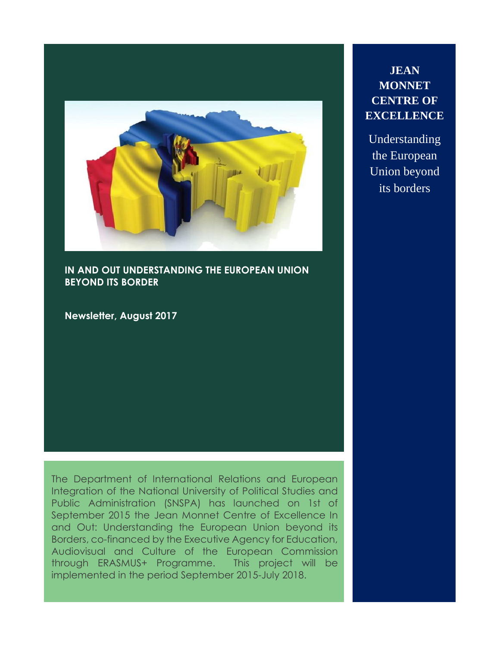

**IN AND OUT UNDERSTANDING THE EUROPEAN UNION BEYOND ITS BORDER**

**Newsletter, August 2017**

The Department of International Relations and European Integration of the National University of Political Studies and Public Administration (SNSPA) has launched on 1st of September 2015 the Jean Monnet Centre of Excellence In and Out: Understanding the European Union beyond its Borders, co-financed by the Executive Agency for Education, Audiovisual and Culture of the European Commission through ERASMUS+ Programme. This project will be implemented in the period September 2015-July 2018.

# **JEAN MONNET CENTRE OF EXCELLENCE**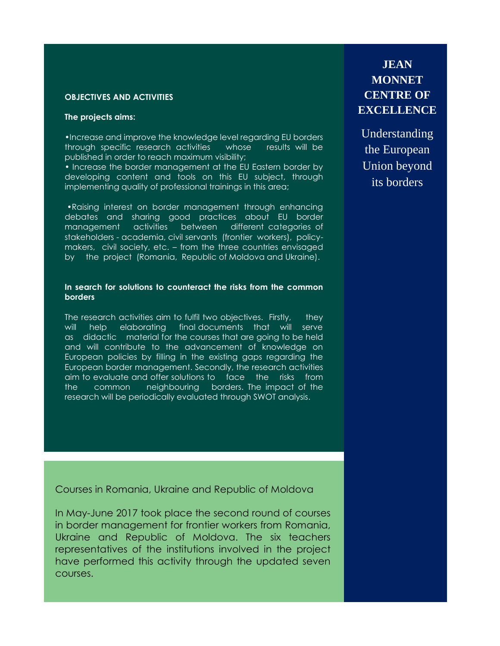### **OBJECTIVES AND ACTIVITIES**

### **The projects aims:**

•Increase and improve the knowledge level regarding EU borders through specific research activities whose results will be published in order to reach maximum visibility;

• Increase the border management at the EU Eastern border by developing content and tools on this EU subject, through implementing quality of professional trainings in this area;

•Raising interest on border management through enhancing debates and sharing good practices about EU border management activities between different categories of stakeholders - academia, civil servants (frontier workers), policymakers, civil society, etc. – from the three countries envisaged by the project (Romania, Republic of Moldova and Ukraine).

#### **In search for solutions to counteract the risks from the common borders**

The research activities aim to fulfil two objectives. Firstly, they will help elaborating final documents that will serve as didactic material for the courses that are going to be held and will contribute to the advancement of knowledge on European policies by filling in the existing gaps regarding the European border management. Secondly, the research activities aim to evaluate and offer solutions to face the risks from the common neighbouring borders. The impact of the research will be periodically evaluated through SWOT analysis.

Courses in Romania, Ukraine and Republic of Moldova

In May-June 2017 took place the second round of courses in border management for frontier workers from Romania, Ukraine and Republic of Moldova. The six teachers representatives of the institutions involved in the project have performed this activity through the updated seven courses.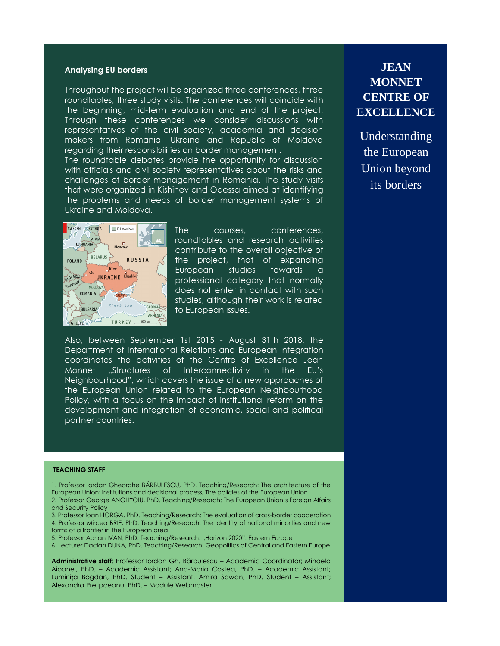#### **Analysing EU borders**

Throughout the project will be organized three conferences, three roundtables, three study visits. The conferences will coincide with the beginning, mid-term evaluation and end of the project. Through these conferences we consider discussions with representatives of the civil society, academia and decision makers from Romania, Ukraine and Republic of Moldova regarding their responsibilities on border management.

The roundtable debates provide the opportunity for discussion with officials and civil society representatives about the risks and challenges of border management in Romania. The study visits that were organized in Kishinev and Odessa aimed at identifying the problems and needs of border management systems of Ukraine and Moldova.



The courses, conferences, roundtables and research activities contribute to the overall objective of the project, that of expanding European studies towards a professional category that normally does not enter in contact with such studies, although their work is related to European issues.

Also, between September 1st 2015 - August 31th 2018, the Department of International Relations and European Integration coordinates the activities of the Centre of Excellence Jean Monnet "Structures of Interconnectivity in the EU's Neighbourhood", which covers the issue of a new approaches of the European Union related to the European Neighbourhood Policy, with a focus on the impact of institutional reform on the development and integration of economic, social and political partner countries.

#### **TEACHING STAFF**:

1. Professor Iordan Gheorghe BĂRBULESCU, PhD. Teaching/Research: The architecture of the European Union: institutions and decisional process; The policies of the European Union 2. Professor George ANGLIȚOIU, PhD. Teaching/Research: The European Union's Foreign Affairs

and Security Policy 3. Professor Ioan HORGA, PhD. Teaching/Research: The evaluation of cross-border cooperation

4. Professor Mircea BRIE, PhD. Teaching/Research: The identity of national minorities and new forms of a frontier in the European area

5. Professor Adrian IVAN, PhD. Teaching/Research: "Horizon 2020": Eastern Europe

6. Lecturer Dacian DUNA, PhD. Teaching/Research: Geopolitics of Central and Eastern Europe

**Administrative staff**: Professor Iordan Gh. Bărbulescu – Academic Coordinator; Mihaela Aioanei, PhD. – Academic Assistant; Ana-Maria Costea, PhD. – Academic Assistant; Luminița Bogdan, PhD. Student – Assistant; Amira Sawan, PhD. Student – Assistant; Alexandra Prelipceanu, PhD. – Module Webmaster

**JEAN MONNET CENTRE OF EXCELLENCE**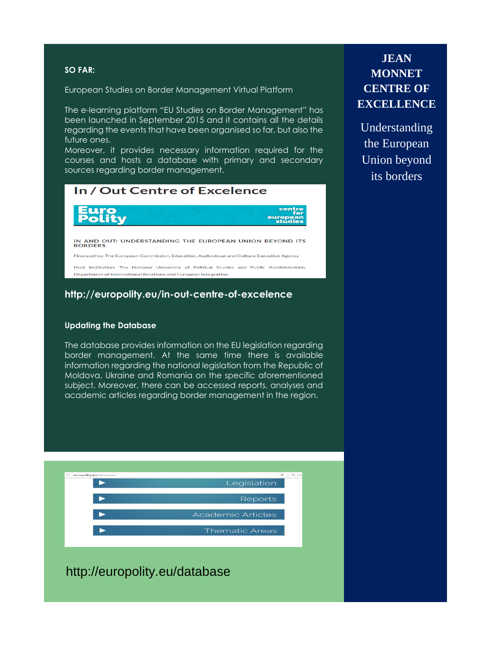### **SO FAR:**

European Studies on Border Management Virtual Platform

The e-learning platform "EU Studies on Border Management" has been launched in September 2015 and it contains all the details regarding the events that have been organised so far, but also the future ones.

Moreover, it provides necessary information required for the courses and hosts a database with primary and secondary sources regarding border management.

| In / Out Centre of Excelence                                                                                                                                |
|-------------------------------------------------------------------------------------------------------------------------------------------------------------|
| <b>Furo</b><br><b>Polity</b><br>centre<br>for<br>european<br><b>studies</b>                                                                                 |
| IN AND OUT: UNDERSTANDING THE EUROPEAN UNION BEYOND ITS<br><b>BORDERS</b>                                                                                   |
| Financed by: The European Commission, Education, Audiovisual and Culture Executive Agency                                                                   |
| Host institution: The National University of Political Studies and Public Administration.<br>Department of International Relations and European Integration |

### **http://europolity.eu/in-out-centre-of-excelence**

#### **Updating the Database**

The database provides information on the EU legislation regarding border management. At the same time there is available information regarding the national legislation from the Republic of Moldova, Ukraine and Romania on the specific aforementioned subject. Moreover, there can be accessed reports, analyses and academic articles regarding border management in the region.



## http://europolity.eu/database

# **JEAN MONNET CENTRE OF EXCELLENCE**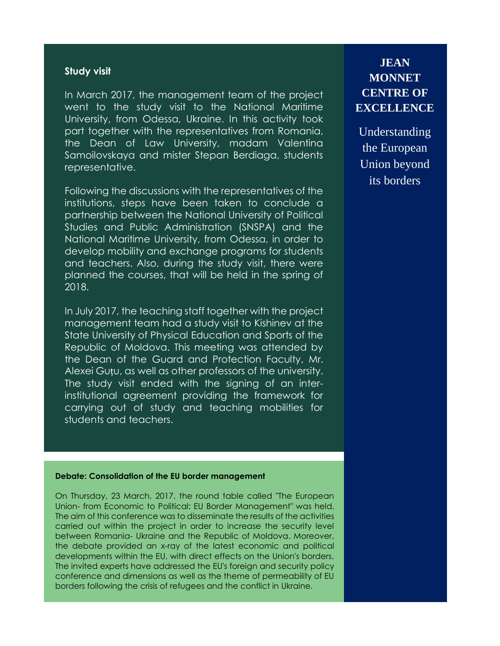### **Study visit**

In March 2017, the management team of the project went to the study visit to the National Maritime University, from Odessa, Ukraine. In this activity took part together with the representatives from Romania, the Dean of Law University, madam Valentina Samoilovskaya and mister Stepan Berdiaga, students representative.

Following the discussions with the representatives of the institutions, steps have been taken to conclude a partnership between the National University of Political Studies and Public Administration (SNSPA) and the National Maritime University, from Odessa, in order to develop mobility and exchange programs for students and teachers. Also, during the study visit, there were planned the courses, that will be held in the spring of 2018.

In July 2017, the teaching staff together with the project management team had a study visit to Kishinev at the State University of Physical Education and Sports of the Republic of Moldova. This meeting was attended by the Dean of the Guard and Protection Faculty, Mr. Alexei Guțu, as well as other professors of the university. The study visit ended with the signing of an interinstitutional agreement providing the framework for carrying out of study and teaching mobilities for students and teachers.

### **Debate: Consolidation of the EU border management**

On Thursday, 23 March, 2017, the round table called "The European Union- from Economic to Political: EU Border Management" was held. The aim of this conference was to disseminate the results of the activities carried out within the project in order to increase the security level between Romania- Ukraine and the Republic of Moldova. Moreover, the debate provided an x-ray of the latest economic and political developments within the EU, with direct effects on the Union's borders. The invited experts have addressed the EU's foreign and security policy conference and dimensions as well as the theme of permeability of EU borders following the crisis of refugees and the conflict in Ukraine.

# **JEAN MONNET CENTRE OF EXCELLENCE**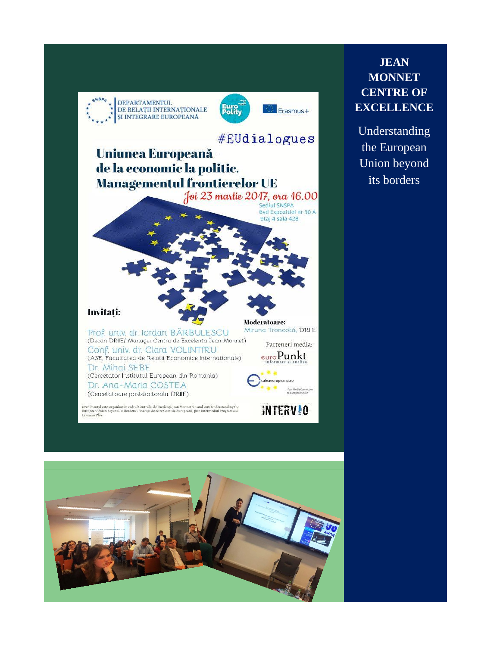



**JEAN MONNET CENTRE OF EXCELLENCE**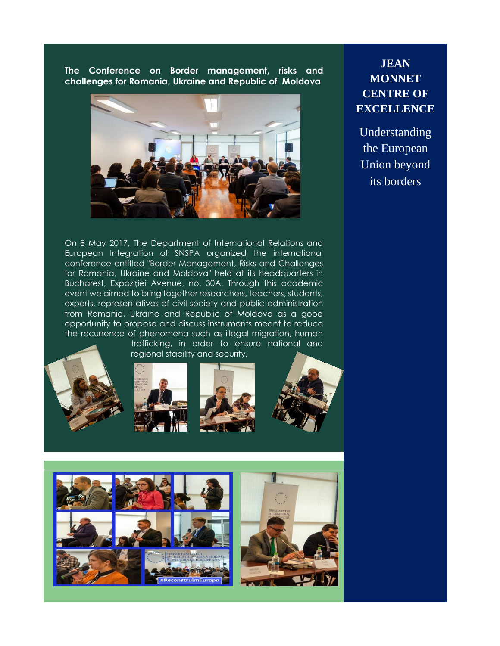**The Conference on Border management, risks and challenges for Romania, Ukraine and Republic of Moldova**



**JEAN MONNET CENTRE OF EXCELLENCE**

Understanding the European Union beyond its borders

On 8 May 2017, The Department of International Relations and European Integration of SNSPA organized the international conference entitled "Border Management, Risks and Challenges for Romania, Ukraine and Moldova" held at its headquarters in Bucharest, Expoziției Avenue, no. 30A. Through this academic event we aimed to bring together researchers, teachers, students, experts, representatives of civil society and public administration from Romania, Ukraine and Republic of Moldova as a good opportunity to propose and discuss instruments meant to reduce the recurrence of phenomena such as illegal migration, human trafficking, in order to ensure national and









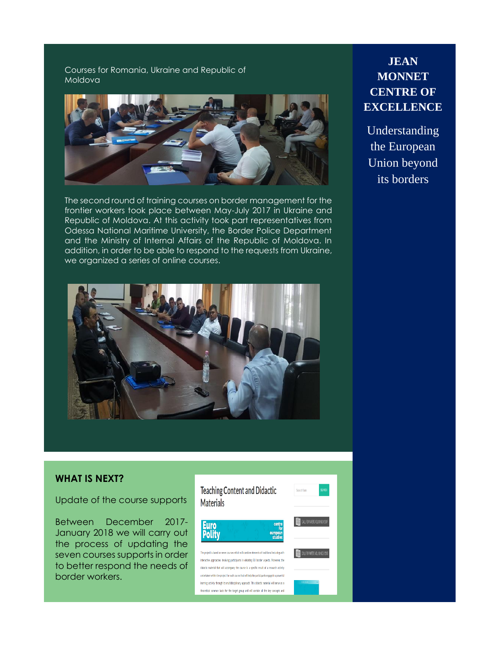### Courses for Romania, Ukraine and Republic of Moldova



The second round of training courses on border management for the frontier workers took place between May-July 2017 in Ukraine and Republic of Moldova. At this activity took part representatives from Odessa National Maritime University, the Border Police Department and the Ministry of Internal Affairs of the Republic of Moldova. In addition, in order to be able to respond to the requests from Ukraine, we organized a series of online courses.



# **JEAN MONNET CENTRE OF EXCELLENCE**

Understanding the European Union beyond its borders

### **WHAT IS NEXT?**

Update of the course supports

Between December 2017- January 2018 we will carry out the process of updating the seven courses supports in order to better respond the needs of border workers.